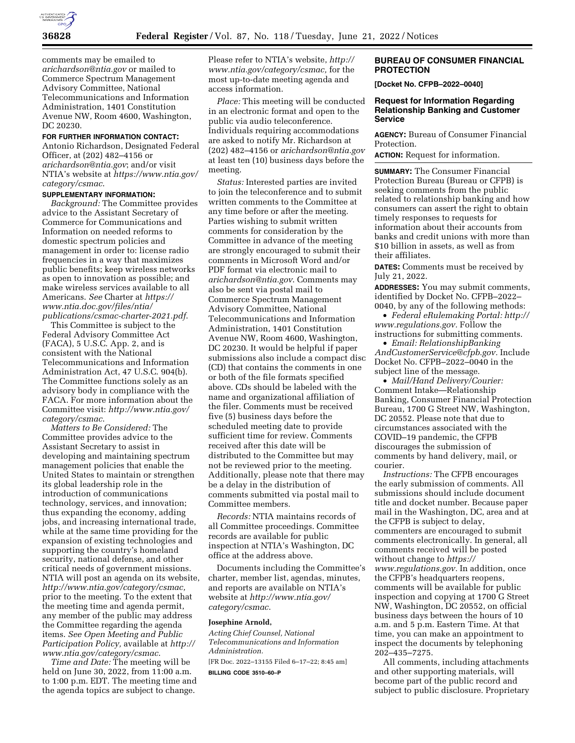

comments may be emailed to *[arichardson@ntia.gov](mailto:arichardson@ntia.gov)* or mailed to Commerce Spectrum Management Advisory Committee, National Telecommunications and Information Administration, 1401 Constitution Avenue NW, Room 4600, Washington, DC 20230.

#### **FOR FURTHER INFORMATION CONTACT:**

Antonio Richardson, Designated Federal Officer, at (202) 482–4156 or *[arichardson@ntia.gov](mailto:arichardson@ntia.gov)*; and/or visit NTIA's website at *[https://www.ntia.gov/](https://www.ntia.gov/category/csmac)  [category/csmac](https://www.ntia.gov/category/csmac)*.

## **SUPPLEMENTARY INFORMATION:**

*Background:* The Committee provides advice to the Assistant Secretary of Commerce for Communications and Information on needed reforms to domestic spectrum policies and management in order to: license radio frequencies in a way that maximizes public benefits; keep wireless networks as open to innovation as possible; and make wireless services available to all Americans. *See* Charter at *[https://](https://www.ntia.doc.gov/files/ntia/publications/csmac-charter-2021.pdf) [www.ntia.doc.gov/files/ntia/](https://www.ntia.doc.gov/files/ntia/publications/csmac-charter-2021.pdf)  [publications/csmac-charter-2021.pdf](https://www.ntia.doc.gov/files/ntia/publications/csmac-charter-2021.pdf)*.

This Committee is subject to the Federal Advisory Committee Act (FACA), 5 U.S.C. App. 2, and is consistent with the National Telecommunications and Information Administration Act, 47 U.S.C. 904(b). The Committee functions solely as an advisory body in compliance with the FACA. For more information about the Committee visit: *[http://www.ntia.gov/](http://www.ntia.gov/category/csmac) [category/csmac](http://www.ntia.gov/category/csmac)*.

*Matters to Be Considered:* The Committee provides advice to the Assistant Secretary to assist in developing and maintaining spectrum management policies that enable the United States to maintain or strengthen its global leadership role in the introduction of communications technology, services, and innovation; thus expanding the economy, adding jobs, and increasing international trade, while at the same time providing for the expansion of existing technologies and supporting the country's homeland security, national defense, and other critical needs of government missions. NTIA will post an agenda on its website, *[http://www.ntia.gov/category/csmac,](http://www.ntia.gov/category/csmac)*  prior to the meeting. To the extent that the meeting time and agenda permit, any member of the public may address the Committee regarding the agenda items. *See Open Meeting and Public Participation Policy,* available at *[http://](http://www.ntia.gov/category/csmac)  [www.ntia.gov/category/csmac](http://www.ntia.gov/category/csmac)*.

*Time and Date:* The meeting will be held on June 30, 2022, from 11:00 a.m. to 1:00 p.m. EDT. The meeting time and the agenda topics are subject to change.

Please refer to NTIA's website, *[http://](http://www.ntia.gov/category/csmac) [www.ntia.gov/category/csmac,](http://www.ntia.gov/category/csmac)* for the most up-to-date meeting agenda and access information.

*Place:* This meeting will be conducted in an electronic format and open to the public via audio teleconference. Individuals requiring accommodations are asked to notify Mr. Richardson at (202) 482–4156 or *[arichardson@ntia.gov](mailto:arichardson@ntia.gov)*  at least ten (10) business days before the meeting.

*Status:* Interested parties are invited to join the teleconference and to submit written comments to the Committee at any time before or after the meeting. Parties wishing to submit written comments for consideration by the Committee in advance of the meeting are strongly encouraged to submit their comments in Microsoft Word and/or PDF format via electronic mail to *[arichardson@ntia.gov](mailto:arichardson@ntia.gov)*. Comments may also be sent via postal mail to Commerce Spectrum Management Advisory Committee, National Telecommunications and Information Administration, 1401 Constitution Avenue NW, Room 4600, Washington, DC 20230. It would be helpful if paper submissions also include a compact disc (CD) that contains the comments in one or both of the file formats specified above. CDs should be labeled with the name and organizational affiliation of the filer. Comments must be received five (5) business days before the scheduled meeting date to provide sufficient time for review. Comments received after this date will be distributed to the Committee but may not be reviewed prior to the meeting. Additionally, please note that there may be a delay in the distribution of comments submitted via postal mail to Committee members.

*Records:* NTIA maintains records of all Committee proceedings. Committee records are available for public inspection at NTIA's Washington, DC office at the address above.

Documents including the Committee's charter, member list, agendas, minutes, and reports are available on NTIA's website at *[http://www.ntia.gov/](http://www.ntia.gov/category/csmac)  [category/csmac](http://www.ntia.gov/category/csmac)*.

#### **Josephine Arnold,**

*Acting Chief Counsel, National Telecommunications and Information Administration.*  [FR Doc. 2022–13155 Filed 6–17–22; 8:45 am]

**BILLING CODE 3510–60–P** 

# **BUREAU OF CONSUMER FINANCIAL PROTECTION**

**[Docket No. CFPB–2022–0040]** 

# **Request for Information Regarding Relationship Banking and Customer Service**

**AGENCY:** Bureau of Consumer Financial Protection.

**ACTION:** Request for information.

**SUMMARY:** The Consumer Financial Protection Bureau (Bureau or CFPB) is seeking comments from the public related to relationship banking and how consumers can assert the right to obtain timely responses to requests for information about their accounts from banks and credit unions with more than \$10 billion in assets, as well as from their affiliates.

**DATES:** Comments must be received by July 21, 2022.

**ADDRESSES:** You may submit comments, identified by Docket No. CFPB–2022– 0040, by any of the following methods:

• *Federal eRulemaking Portal: [http://](http://www.regulations.gov)  [www.regulations.gov.](http://www.regulations.gov)* Follow the instructions for submitting comments.

• *Email: [RelationshipBanking](mailto:RelationshipBankingAndCustomerService@cfpb.gov) [AndCustomerService@cfpb.gov.](mailto:RelationshipBankingAndCustomerService@cfpb.gov)* Include Docket No. CFPB–2022–0040 in the subject line of the message.

• *Mail/Hand Delivery/Courier:*  Comment Intake—Relationship Banking, Consumer Financial Protection Bureau, 1700 G Street NW, Washington, DC 20552. Please note that due to circumstances associated with the COVID–19 pandemic, the CFPB discourages the submission of comments by hand delivery, mail, or courier.

*Instructions:* The CFPB encourages the early submission of comments. All submissions should include document title and docket number. Because paper mail in the Washington, DC, area and at the CFPB is subject to delay, commenters are encouraged to submit comments electronically. In general, all comments received will be posted without change to *[https://](https://www.regulations.gov) [www.regulations.gov.](https://www.regulations.gov)* In addition, once the CFPB's headquarters reopens, comments will be available for public inspection and copying at 1700 G Street NW, Washington, DC 20552, on official business days between the hours of 10 a.m. and 5 p.m. Eastern Time. At that time, you can make an appointment to inspect the documents by telephoning 202–435–7275.

All comments, including attachments and other supporting materials, will become part of the public record and subject to public disclosure. Proprietary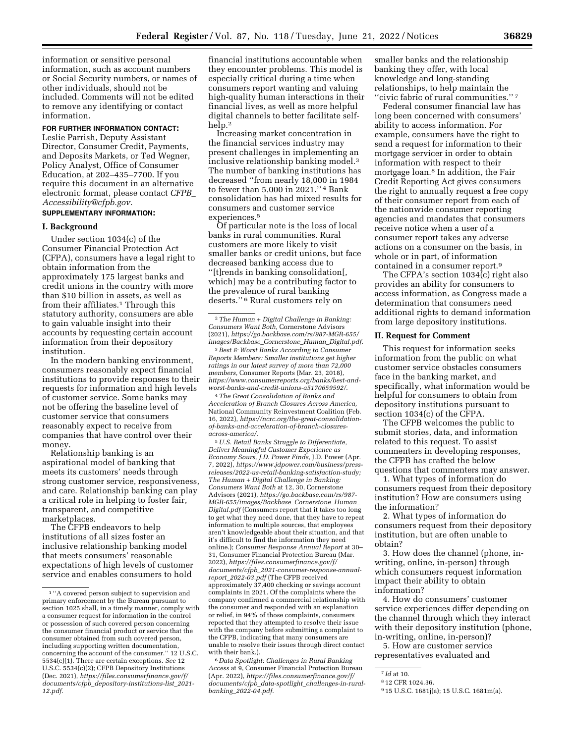information or sensitive personal information, such as account numbers or Social Security numbers, or names of other individuals, should not be included. Comments will not be edited to remove any identifying or contact information.

# **FOR FURTHER INFORMATION CONTACT:**

Leslie Parrish, Deputy Assistant Director, Consumer Credit, Payments, and Deposits Markets, or Ted Wegner, Policy Analyst, Office of Consumer Education, at 202–435–7700. If you require this document in an alternative electronic format, please contact *[CFPB](mailto:CFPB_Accessibility@cfpb.gov)*\_ *[Accessibility@cfpb.gov.](mailto:CFPB_Accessibility@cfpb.gov)* 

# **SUPPLEMENTARY INFORMATION:**

#### **I. Background**

Under section 1034(c) of the Consumer Financial Protection Act (CFPA), consumers have a legal right to obtain information from the approximately 175 largest banks and credit unions in the country with more than \$10 billion in assets, as well as from their affiliates.<sup>1</sup> Through this statutory authority, consumers are able to gain valuable insight into their accounts by requesting certain account information from their depository institution.

In the modern banking environment, consumers reasonably expect financial institutions to provide responses to their requests for information and high levels of customer service. Some banks may not be offering the baseline level of customer service that consumers reasonably expect to receive from companies that have control over their money.

Relationship banking is an aspirational model of banking that meets its customers' needs through strong customer service, responsiveness, and care. Relationship banking can play a critical role in helping to foster fair, transparent, and competitive marketplaces.

The CFPB endeavors to help institutions of all sizes foster an inclusive relationship banking model that meets consumers' reasonable expectations of high levels of customer service and enables consumers to hold

financial institutions accountable when they encounter problems. This model is especially critical during a time when consumers report wanting and valuing high-quality human interactions in their financial lives, as well as more helpful digital channels to better facilitate selfhelp.2

Increasing market concentration in the financial services industry may present challenges in implementing an inclusive relationship banking model.3 The number of banking institutions has decreased ''from nearly 18,000 in 1984 to fewer than 5,000 in 2021.'' 4 Bank consolidation has had mixed results for consumers and customer service experiences.5

Of particular note is the loss of local banks in rural communities. Rural customers are more likely to visit smaller banks or credit unions, but face decreased banking access due to ''[t]rends in banking consolidation[, which] may be a contributing factor to the prevalence of rural banking deserts.'' 6 Rural customers rely on

3*Best & Worst Banks According to Consumer Reports Members: Smaller institutions get higher ratings in our latest survey of more than 72,000 members,* Consumer Reports (Mar. 23, 2018), *[https://www.consumerreports.org/banks/best-and](https://www.consumerreports.org/banks/best-and-worst-banks-and-credit-unions-a5170659592/)[worst-banks-and-credit-unions-a5170659592/.](https://www.consumerreports.org/banks/best-and-worst-banks-and-credit-unions-a5170659592/)* 

4*The Great Consolidation of Banks and Acceleration of Branch Closures Across America,*  National Community Reinvestment Coalition (Feb. 16, 2022), *[https://ncrc.org/the-great-consolidation](https://ncrc.org/the-great-consolidation-of-banks-and-acceleration-of-branch-closures-across-america/)[of-banks-and-acceleration-of-branch-closures](https://ncrc.org/the-great-consolidation-of-banks-and-acceleration-of-branch-closures-across-america/)[across-america/.](https://ncrc.org/the-great-consolidation-of-banks-and-acceleration-of-branch-closures-across-america/)* 

5*U.S. Retail Banks Struggle to Differentiate, Deliver Meaningful Customer Experience as Economy Sours, J.D. Power Finds,* J.D. Power (Apr. 7, 2022), *[https://www.jdpower.com/business/press](https://www.jdpower.com/business/press-releases/2022-us-retail-banking-satisfaction-study)[releases/2022-us-retail-banking-satisfaction-study;](https://www.jdpower.com/business/press-releases/2022-us-retail-banking-satisfaction-study) The Human + Digital Challenge in Banking: Consumers Want Both* at 12, 30, Cornerstone Advisors (2021), *[https://go.backbase.com/rs/987-](https://go.backbase.com/rs/987-MGR-655/images/Backbase_Cornerstone_Human_Digital.pdf) [MGR-655/images/Backbase](https://go.backbase.com/rs/987-MGR-655/images/Backbase_Cornerstone_Human_Digital.pdf)*\_*Cornerstone*\_*Human*\_ *[Digital.pdf](https://go.backbase.com/rs/987-MGR-655/images/Backbase_Cornerstone_Human_Digital.pdf)* (Consumers report that it takes too long to get what they need done, that they have to repeat information to multiple sources, that employees aren't knowledgeable about their situation, and that it's difficult to find the information they need online.); *Consumer Response Annual Report* at 30– 31, Consumer Financial Protection Bureau (Mar. 2022), *[https://files.consumerfinance.gov/f/](https://files.consumerfinance.gov/f/documents/cfpb_2021-consumer-response-annual-report_2022-03.pdf) documents/cfpb*\_*[2021-consumer-response-annual](https://files.consumerfinance.gov/f/documents/cfpb_2021-consumer-response-annual-report_2022-03.pdf)report*\_*[2022-03.pdf](https://files.consumerfinance.gov/f/documents/cfpb_2021-consumer-response-annual-report_2022-03.pdf)* (The CFPB received approximately 37,400 checking or savings account complaints in 2021. Of the complaints where the company confirmed a commercial relationship with the consumer and responded with an explanation or relief, in 94% of those complaints, consumers reported that they attempted to resolve their issue with the company before submitting a complaint to the CFPB, indicating that many consumers are unable to resolve their issues through direct contact with their bank.).

6 *Data Spotlight: Challenges in Rural Banking Access* at 9, Consumer Financial Protection Bureau (Apr. 2022), *[https://files.consumerfinance.gov/f/](https://files.consumerfinance.gov/f/documents/cfpb_data-spotlight_challenges-in-rural-banking_2022-04.pdf)  documents/cfpb*\_*data-spotlight*\_*[challenges-in-rural](https://files.consumerfinance.gov/f/documents/cfpb_data-spotlight_challenges-in-rural-banking_2022-04.pdf)banking*\_*[2022-04.pdf.](https://files.consumerfinance.gov/f/documents/cfpb_data-spotlight_challenges-in-rural-banking_2022-04.pdf)* 

smaller banks and the relationship banking they offer, with local knowledge and long-standing relationships, to help maintain the ''civic fabric of rural communities.'' 7

Federal consumer financial law has long been concerned with consumers' ability to access information. For example, consumers have the right to send a request for information to their mortgage servicer in order to obtain information with respect to their mortgage loan.8 In addition, the Fair Credit Reporting Act gives consumers the right to annually request a free copy of their consumer report from each of the nationwide consumer reporting agencies and mandates that consumers receive notice when a user of a consumer report takes any adverse actions on a consumer on the basis, in whole or in part, of information contained in a consumer report.9

The CFPA's section 1034(c) right also provides an ability for consumers to access information, as Congress made a determination that consumers need additional rights to demand information from large depository institutions.

#### **II. Request for Comment**

This request for information seeks information from the public on what customer service obstacles consumers face in the banking market, and specifically, what information would be helpful for consumers to obtain from depository institutions pursuant to section 1034(c) of the CFPA.

The CFPB welcomes the public to submit stories, data, and information related to this request. To assist commenters in developing responses, the CFPB has crafted the below questions that commenters may answer.

1. What types of information do consumers request from their depository institution? How are consumers using the information?

2. What types of information do consumers request from their depository institution, but are often unable to obtain?

3. How does the channel (phone, inwriting, online, in-person) through which consumers request information impact their ability to obtain information?

4. How do consumers' customer service experiences differ depending on the channel through which they interact with their depository institution (phone, in-writing, online, in-person)?

5. How are customer service representatives evaluated and

 $^{\rm 1\,^{\rm 4}A}$  covered person subject to supervision and primary enforcement by the Bureau pursuant to section 1025 shall, in a timely manner, comply with a consumer request for information in the control or possession of such covered person concerning the consumer financial product or service that the consumer obtained from such covered person, including supporting written documentation, concerning the account of the consumer.'' 12 U.S.C. 5534(c)(1). There are certain exceptions. *See* 12 U.S.C. 5534(c)(2); CFPB Depository Institutions (Dec. 2021), *[https://files.consumerfinance.gov/f/](https://files.consumerfinance.gov/f/documents/cfpb_depository-institutions-list_2021-12.pdf) documents/cfpb*\_*[depository-institutions-list](https://files.consumerfinance.gov/f/documents/cfpb_depository-institutions-list_2021-12.pdf)*\_*2021- [12.pdf.](https://files.consumerfinance.gov/f/documents/cfpb_depository-institutions-list_2021-12.pdf)* 

<sup>2</sup>*The Human + Digital Challenge in Banking: Consumers Want Both,* Cornerstone Advisors (2021), *[https://go.backbase.com/rs/987-MGR-655/](https://go.backbase.com/rs/987-MGR-655/images/Backbase_Cornerstone_Human_Digital.pdf) [images/Backbase](https://go.backbase.com/rs/987-MGR-655/images/Backbase_Cornerstone_Human_Digital.pdf)*\_*Cornerstone*\_*Human*\_*Digital.pdf.* 

<sup>7</sup> *Id* at 10.

<sup>8</sup> 12 CFR 1024.36.

<sup>9</sup> 15 U.S.C. 1681j(a); 15 U.S.C. 1681m(a).